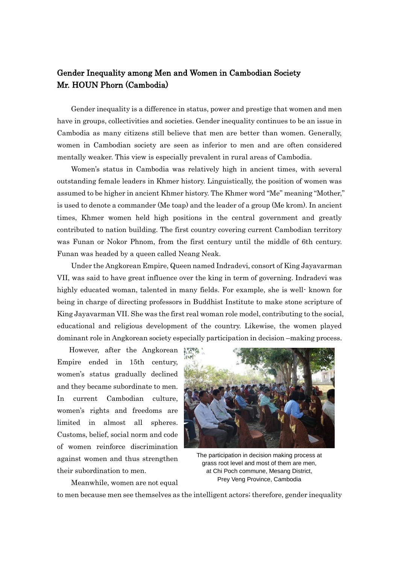## Gender Inequality among Men and Women in Cambodian Society Mr. HOUN Phorn (Cambodia)

Gender inequality is a difference in status, power and prestige that women and men have in groups, collectivities and societies. Gender inequality continues to be an issue in Cambodia as many citizens still believe that men are better than women. Generally, women in Cambodian society are seen as inferior to men and are often considered mentally weaker. This view is especially prevalent in rural areas of Cambodia.

Women's status in Cambodia was relatively high in ancient times, with several outstanding female leaders in Khmer history. Linguistically, the position of women was assumed to be higher in ancient Khmer history. The Khmer word "Me" meaning "Mother," is used to denote a commander (Me toap) and the leader of a group (Me krom). In ancient times, Khmer women held high positions in the central government and greatly contributed to nation building. The first country covering current Cambodian territory was Funan or Nokor Phnom, from the first century until the middle of 6th century. Funan was headed by a queen called Neang Neak.

Under the Angkorean Empire, Queen named Indradevi, consort of King Jayavarman VII, was said to have great influence over the king in term of governing. Indradevi was highly educated woman, talented in many fields. For example, she is well- known for being in charge of directing professors in Buddhist Institute to make stone scripture of King Jayavarman VII. She was the first real woman role model, contributing to the social, educational and religious development of the country. Likewise, the women played dominant role in Angkorean society especially participation in decision –making process.

However, after the Angkorean Empire ended in 15th century, women's status gradually declined and they became subordinate to men. In current Cambodian culture, women's rights and freedoms are limited in almost all spheres. Customs, belief, social norm and code of women reinforce discrimination against women and thus strengthen their subordination to men.

The participation in decision making process at grass root level and most of them are men, at Chi Poch commune, Mesang District, Prey Veng Province, Cambodia

Meanwhile, women are not equal

to men because men see themselves as the intelligent actors; therefore, gender inequality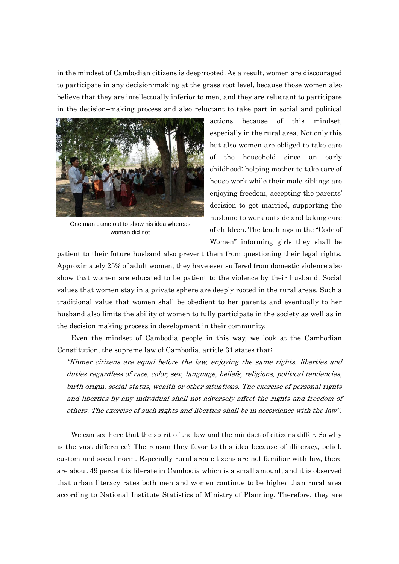in the mindset of Cambodian citizens is deep-rooted. As a result, women are discouraged to participate in any decision-making at the grass root level, because those women also believe that they are intellectually inferior to men, and they are reluctant to participate in the decision–making process and also reluctant to take part in social and political



One man came out to show his idea whereas woman did not

actions because of this mindset, especially in the rural area. Not only this but also women are obliged to take care of the household since an early childhood: helping mother to take care of house work while their male siblings are enjoying freedom, accepting the parents' decision to get married, supporting the husband to work outside and taking care of children. The teachings in the "Code of Women" informing girls they shall be

patient to their future husband also prevent them from questioning their legal rights. Approximately 25% of adult women, they have ever suffered from domestic violence also show that women are educated to be patient to the violence by their husband. Social values that women stay in a private sphere are deeply rooted in the rural areas. Such a traditional value that women shall be obedient to her parents and eventually to her husband also limits the ability of women to fully participate in the society as well as in the decision making process in development in their community.

Even the mindset of Cambodia people in this way, we look at the Cambodian Constitution, the supreme law of Cambodia, article 31 states that:

"Khmer citizens are equal before the law, enjoying the same rights, liberties and duties regardless of race, color, sex, language, beliefs, religions, political tendencies, birth origin, social status, wealth or other situations. The exercise of personal rights and liberties by any individual shall not adversely affect the rights and freedom of others. The exercise of such rights and liberties shall be in accordance with the law".

We can see here that the spirit of the law and the mindset of citizens differ. So why is the vast difference? The reason they favor to this idea because of illiteracy, belief, custom and social norm. Especially rural area citizens are not familiar with law, there are about 49 percent is literate in Cambodia which is a small amount, and it is observed that urban literacy rates both men and women continue to be higher than rural area according to National Institute Statistics of Ministry of Planning. Therefore, they are